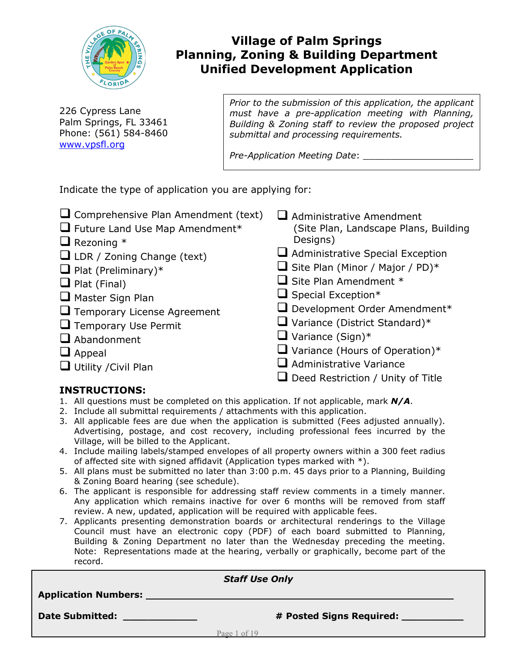

# **Village of Palm Springs Planning, Zoning & Building Department Unified Development Application**

226 Cypress Lane Palm Springs, FL 33461 Phone: (561) 584-8460 [www.vpsfl.org](http://www.vpsfl.org/)

*Prior to the submission of this application, the applicant must have a pre-application meeting with Planning, Building & Zoning staff to review the proposed project submittal and processing requirements.* 

*Pre-Application Meeting Date*: \_\_\_\_\_\_\_\_\_\_\_\_\_\_\_\_\_\_\_\_

Indicate the type of application you are applying for:

| $\Box$ Comprehensive Plan Amendment (text) | $\Box$ Administrative Amendment          |
|--------------------------------------------|------------------------------------------|
| $\Box$ Future Land Use Map Amendment*      | (Site Plan, Landscape Plans, Building    |
| $\Box$ Rezoning $*$                        | Designs)                                 |
| $\Box$ LDR / Zoning Change (text)          | $\Box$ Administrative Special Exception  |
| $\Box$ Plat (Preliminary)*                 | $\Box$ Site Plan (Minor / Major / PD)*   |
| $\Box$ Plat (Final)                        | $\Box$ Site Plan Amendment $*$           |
| $\Box$ Master Sign Plan                    | $\Box$ Special Exception*                |
| $\Box$ Temporary License Agreement         | $\Box$ Development Order Amendment*      |
| $\Box$ Temporary Use Permit                | $\Box$ Variance (District Standard)*     |
| $\Box$ Abandonment                         | $\Box$ Variance (Sign)*                  |
| $\Box$ Appeal                              | $\Box$ Variance (Hours of Operation)*    |
| $\Box$ Utility / Civil Plan                | $\Box$ Administrative Variance           |
|                                            | $\Box$ Deed Restriction / Unity of Title |

## **INSTRUCTIONS:**

- 1. All questions must be completed on this application. If not applicable, mark *N/A*.
- 2. Include all submittal requirements / attachments with this application.
- 3. All applicable fees are due when the application is submitted (Fees adjusted annually). Advertising, postage, and cost recovery, including professional fees incurred by the Village, will be billed to the Applicant.
- 4. Include mailing labels/stamped envelopes of all property owners within a 300 feet radius of affected site with signed affidavit (Application types marked with  $*)$ .
- 5. All plans must be submitted no later than 3:00 p.m. 45 days prior to a Planning, Building & Zoning Board hearing (see schedule).
- 6. The applicant is responsible for addressing staff review comments in a timely manner. Any application which remains inactive for over 6 months will be removed from staff review. A new, updated, application will be required with applicable fees.
- 7. Applicants presenting demonstration boards or architectural renderings to the Village Council must have an electronic copy (PDF) of each board submitted to Planning, Building & Zoning Department no later than the Wednesday preceding the meeting. Note: Representations made at the hearing, verbally or graphically, become part of the record.

|                             | <b>Staff Use Only</b>      |  |
|-----------------------------|----------------------------|--|
| <b>Application Numbers:</b> |                            |  |
| <b>Date Submitted:</b>      | # Posted Signs Required: _ |  |
|                             | Page 1 of 19               |  |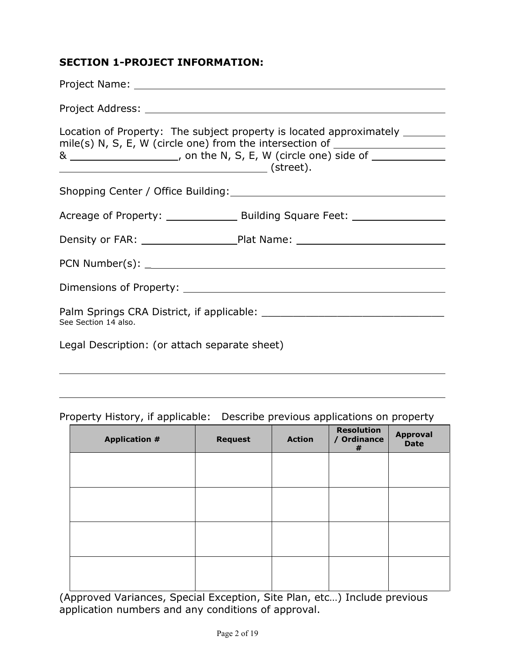## **SECTION 1-PROJECT INFORMATION:**

|                                               | Location of Property: The subject property is located approximately _______<br>mile(s) N, S, E, W (circle one) from the intersection of _______________________<br>& ________________________, on the N, S, E, W (circle one) side of _____________ |  |
|-----------------------------------------------|-----------------------------------------------------------------------------------------------------------------------------------------------------------------------------------------------------------------------------------------------------|--|
|                                               |                                                                                                                                                                                                                                                     |  |
|                                               |                                                                                                                                                                                                                                                     |  |
|                                               | Density or FAR: _________________________Plat Name: ____________________________                                                                                                                                                                    |  |
|                                               |                                                                                                                                                                                                                                                     |  |
|                                               |                                                                                                                                                                                                                                                     |  |
| See Section 14 also.                          |                                                                                                                                                                                                                                                     |  |
| Legal Description: (or attach separate sheet) |                                                                                                                                                                                                                                                     |  |

## Property History, if applicable: Describe previous applications on property

| <b>Application #</b> | <b>Request</b> | <b>Action</b> | <b>Resolution</b><br>/ Ordinance<br># | <b>Approval</b><br><b>Date</b> |
|----------------------|----------------|---------------|---------------------------------------|--------------------------------|
|                      |                |               |                                       |                                |
|                      |                |               |                                       |                                |
|                      |                |               |                                       |                                |
|                      |                |               |                                       |                                |
|                      |                |               |                                       |                                |

(Approved Variances, Special Exception, Site Plan, etc…) Include previous application numbers and any conditions of approval.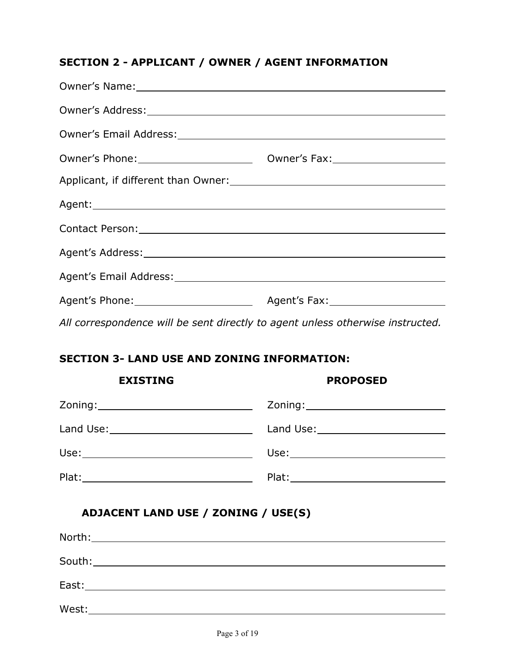## **SECTION 2 - APPLICANT / OWNER / AGENT INFORMATION**

| Owner's Name: 1988 Communication of the Communication of the Communication of the Communication of the Communication of the Communication of the Communication of the Communication of the Communication of the Communication |
|-------------------------------------------------------------------------------------------------------------------------------------------------------------------------------------------------------------------------------|
|                                                                                                                                                                                                                               |
|                                                                                                                                                                                                                               |
| Owner's Phone: 0wner's Fax:                                                                                                                                                                                                   |
|                                                                                                                                                                                                                               |
|                                                                                                                                                                                                                               |
|                                                                                                                                                                                                                               |
|                                                                                                                                                                                                                               |
|                                                                                                                                                                                                                               |
|                                                                                                                                                                                                                               |
|                                                                                                                                                                                                                               |

*All correspondence will be sent directly to agent unless otherwise instructed.*

# **SECTION 3- LAND USE AND ZONING INFORMATION:**

| <b>EXISTING</b>                                                                                                | <b>PROPOSED</b> |
|----------------------------------------------------------------------------------------------------------------|-----------------|
|                                                                                                                |                 |
| Land Use: University of the University of the University of the University of the University of the University |                 |
|                                                                                                                |                 |
|                                                                                                                |                 |

# **ADJACENT LAND USE / ZONING / USE(S)**

|       | East: East and the second state of the second state of the second state of the second state of the second state of the second state of the second state of the second state of the second state of the second state of the sec |  |  |
|-------|--------------------------------------------------------------------------------------------------------------------------------------------------------------------------------------------------------------------------------|--|--|
| West: |                                                                                                                                                                                                                                |  |  |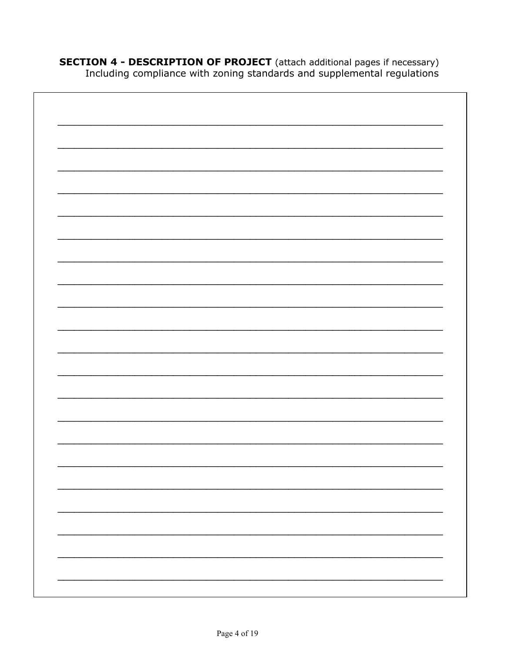**SECTION 4 - DESCRIPTION OF PROJECT** (attach additional pages if necessary)<br>Including compliance with zoning standards and supplemental regulations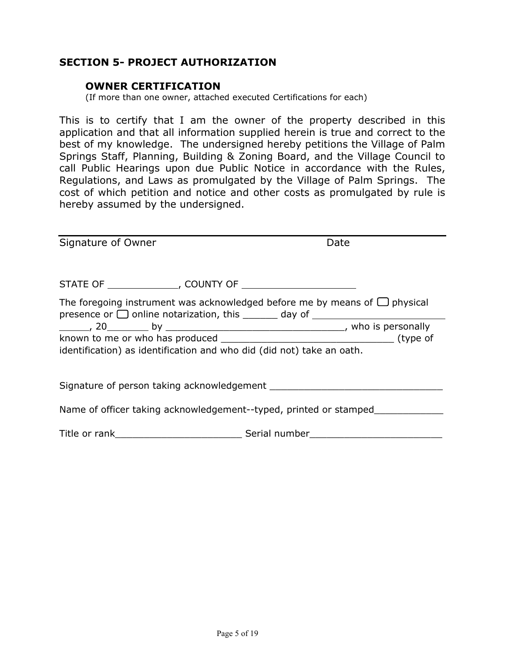## **SECTION 5- PROJECT AUTHORIZATION**

#### **OWNER CERTIFICATION**

(If more than one owner, attached executed Certifications for each)

This is to certify that I am the owner of the property described in this application and that all information supplied herein is true and correct to the best of my knowledge. The undersigned hereby petitions the Village of Palm Springs Staff, Planning, Building & Zoning Board, and the Village Council to call Public Hearings upon due Public Notice in accordance with the Rules, Regulations, and Laws as promulgated by the Village of Palm Springs. The cost of which petition and notice and other costs as promulgated by rule is hereby assumed by the undersigned.

| Signature of Owner |                                                                       | Date                                                                                                                                                                   |  |
|--------------------|-----------------------------------------------------------------------|------------------------------------------------------------------------------------------------------------------------------------------------------------------------|--|
|                    |                                                                       |                                                                                                                                                                        |  |
|                    |                                                                       | The foregoing instrument was acknowledged before me by means of $\bigcup$ physical<br>presence or □ online notarization, this _______ day of _________________________ |  |
|                    |                                                                       |                                                                                                                                                                        |  |
|                    |                                                                       |                                                                                                                                                                        |  |
|                    | identification) as identification and who did (did not) take an oath. |                                                                                                                                                                        |  |
|                    |                                                                       |                                                                                                                                                                        |  |
|                    |                                                                       |                                                                                                                                                                        |  |
|                    |                                                                       | Name of officer taking acknowledgement--typed, printed or stamped                                                                                                      |  |
|                    |                                                                       |                                                                                                                                                                        |  |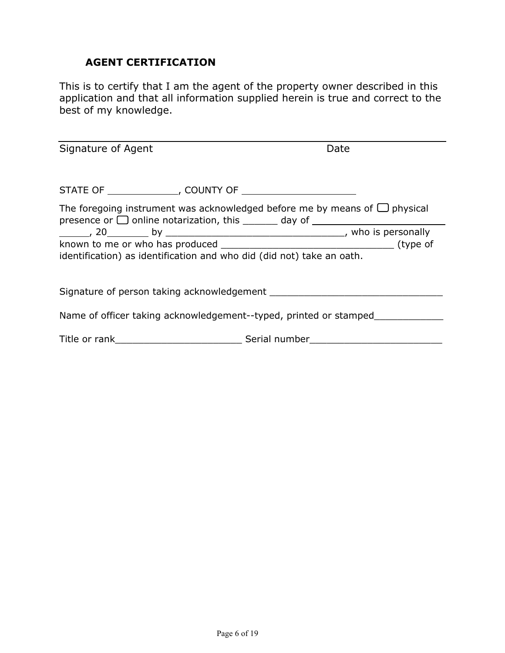## **AGENT CERTIFICATION**

This is to certify that I am the agent of the property owner described in this application and that all information supplied herein is true and correct to the best of my knowledge.

| Signature of Agent                                                               | Date                                                                                                                                                                 |
|----------------------------------------------------------------------------------|----------------------------------------------------------------------------------------------------------------------------------------------------------------------|
|                                                                                  |                                                                                                                                                                      |
|                                                                                  | The foregoing instrument was acknowledged before me by means of $\Box$ physical<br>presence or $\Box$ online notarization, this $\_\_\_\_$ day of $\_\_\_\_\_\_\_\_$ |
|                                                                                  |                                                                                                                                                                      |
| identification) as identification and who did (did not) take an oath.            |                                                                                                                                                                      |
|                                                                                  |                                                                                                                                                                      |
| Name of officer taking acknowledgement--typed, printed or stamped                |                                                                                                                                                                      |
| Title or rank___________________________________Serial number___________________ |                                                                                                                                                                      |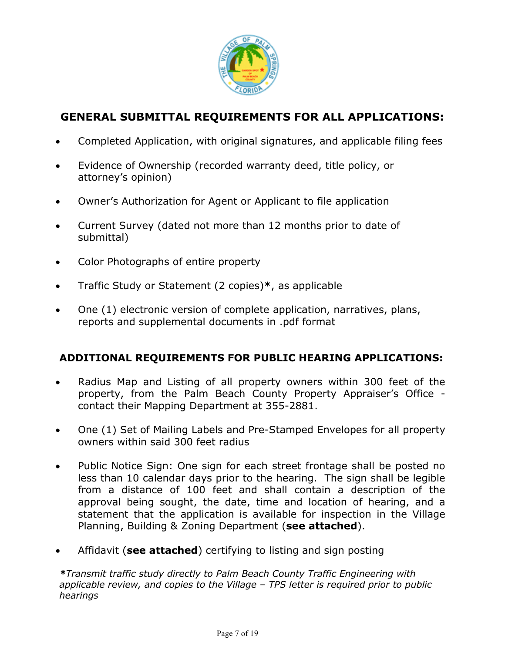

# **GENERAL SUBMITTAL REQUIREMENTS FOR ALL APPLICATIONS:**

- Completed Application, with original signatures, and applicable filing fees
- Evidence of Ownership (recorded warranty deed, title policy, or attorney's opinion)
- Owner's Authorization for Agent or Applicant to file application
- Current Survey (dated not more than 12 months prior to date of submittal)
- Color Photographs of entire property
- Traffic Study or Statement (2 copies)**\***, as applicable
- One (1) electronic version of complete application, narratives, plans, reports and supplemental documents in .pdf format

## **ADDITIONAL REQUIREMENTS FOR PUBLIC HEARING APPLICATIONS:**

- Radius Map and Listing of all property owners within 300 feet of the property, from the Palm Beach County Property Appraiser's Office contact their Mapping Department at 355-2881.
- One (1) Set of Mailing Labels and Pre-Stamped Envelopes for all property owners within said 300 feet radius
- Public Notice Sign: One sign for each street frontage shall be posted no less than 10 calendar days prior to the hearing. The sign shall be legible from a distance of 100 feet and shall contain a description of the approval being sought, the date, time and location of hearing, and a statement that the application is available for inspection in the Village Planning, Building & Zoning Department (**see attached**).
- Affidavit (**see attached**) certifying to listing and sign posting

*\*Transmit traffic study directly to Palm Beach County Traffic Engineering with applicable review, and copies to the Village – TPS letter is required prior to public hearings*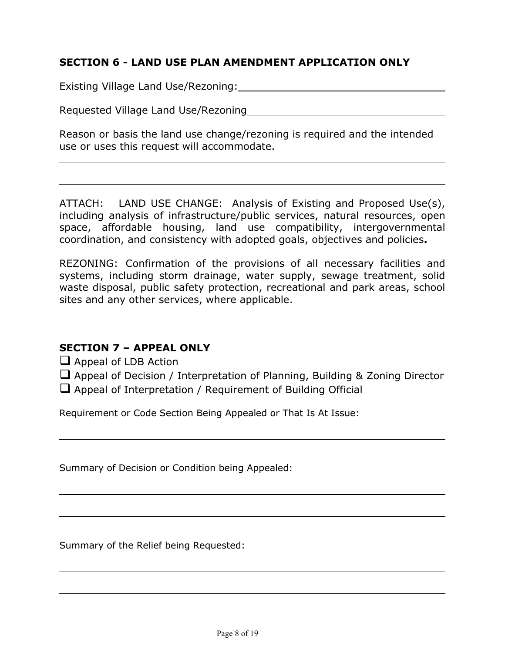## **SECTION 6 - LAND USE PLAN AMENDMENT APPLICATION ONLY**

Existing Village Land Use/Rezoning:

Requested Village Land Use/Rezoning

Reason or basis the land use change/rezoning is required and the intended use or uses this request will accommodate.

ATTACH: LAND USE CHANGE: Analysis of Existing and Proposed Use(s), including analysis of infrastructure/public services, natural resources, open space, affordable housing, land use compatibility, intergovernmental coordination, and consistency with adopted goals, objectives and policies**.**

REZONING: Confirmation of the provisions of all necessary facilities and systems, including storm drainage, water supply, sewage treatment, solid waste disposal, public safety protection, recreational and park areas, school sites and any other services, where applicable.

## **SECTION 7 – APPEAL ONLY**

 $\Box$  Appeal of LDB Action

 $\Box$  Appeal of Decision / Interpretation of Planning, Building & Zoning Director

Appeal of Interpretation / Requirement of Building Official

Requirement or Code Section Being Appealed or That Is At Issue:

Summary of Decision or Condition being Appealed:

Summary of the Relief being Requested: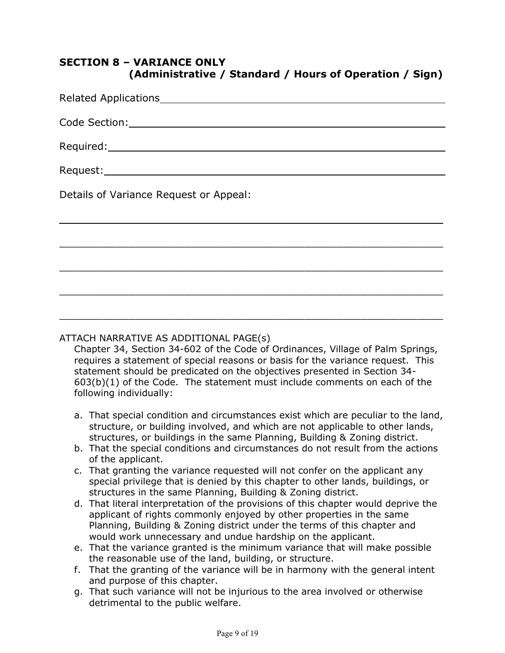# **SECTION 8 – VARIANCE ONLY (Administrative / Standard / Hours of Operation / Sign)**

| Related Applications experience and a manufacturer of the set of the set of the set of the set of the set of the set of the set of the set of the set of the set of the set of the set of the set of the set of the set of the |
|--------------------------------------------------------------------------------------------------------------------------------------------------------------------------------------------------------------------------------|
|                                                                                                                                                                                                                                |
|                                                                                                                                                                                                                                |
|                                                                                                                                                                                                                                |
| Details of Variance Request or Appeal:                                                                                                                                                                                         |
|                                                                                                                                                                                                                                |
|                                                                                                                                                                                                                                |
|                                                                                                                                                                                                                                |
|                                                                                                                                                                                                                                |
|                                                                                                                                                                                                                                |
|                                                                                                                                                                                                                                |

#### ATTACH NARRATIVE AS ADDITIONAL PAGE(s)

Chapter 34, Section 34-602 of the Code of Ordinances, Village of Palm Springs, requires a statement of special reasons or basis for the variance request. This statement should be predicated on the objectives presented in Section 34- 603(b)(1) of the Code. The statement must include comments on each of the following individually:

- a. That special condition and circumstances exist which are peculiar to the land, structure, or building involved, and which are not applicable to other lands, structures, or buildings in the same Planning, Building & Zoning district.
- b. That the special conditions and circumstances do not result from the actions of the applicant.
- c. That granting the variance requested will not confer on the applicant any special privilege that is denied by this chapter to other lands, buildings, or structures in the same Planning, Building & Zoning district.
- d. That literal interpretation of the provisions of this chapter would deprive the applicant of rights commonly enjoyed by other properties in the same Planning, Building & Zoning district under the terms of this chapter and would work unnecessary and undue hardship on the applicant.
- e. That the variance granted is the minimum variance that will make possible the reasonable use of the land, building, or structure.
- f. That the granting of the variance will be in harmony with the general intent and purpose of this chapter.
- g. That such variance will not be injurious to the area involved or otherwise detrimental to the public welfare.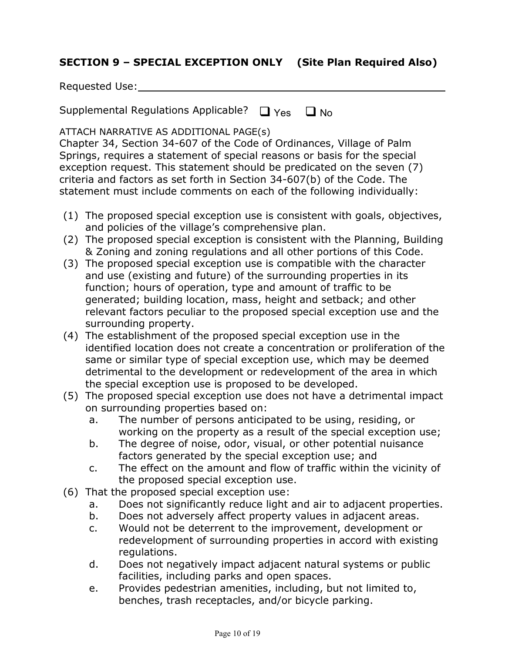## **SECTION 9 – SPECIAL EXCEPTION ONLY (Site Plan Required Also)**

Supplemental Regulations Applicable?  $\Box$  Yes  $\Box$  No

ATTACH NARRATIVE AS ADDITIONAL PAGE(s)

Chapter 34, Section 34-607 of the Code of Ordinances, Village of Palm Springs, requires a statement of special reasons or basis for the special exception request. This statement should be predicated on the seven (7) criteria and factors as set forth in Section 34-607(b) of the Code. The statement must include comments on each of the following individually:

- (1) The proposed special exception use is consistent with goals, objectives, and policies of the village's comprehensive plan.
- (2) The proposed special exception is consistent with the Planning, Building & Zoning and zoning regulations and all other portions of this Code.
- (3) The proposed special exception use is compatible with the character and use (existing and future) of the surrounding properties in its function; hours of operation, type and amount of traffic to be generated; building location, mass, height and setback; and other relevant factors peculiar to the proposed special exception use and the surrounding property.
- (4) The establishment of the proposed special exception use in the identified location does not create a concentration or proliferation of the same or similar type of special exception use, which may be deemed detrimental to the development or redevelopment of the area in which the special exception use is proposed to be developed.
- (5) The proposed special exception use does not have a detrimental impact on surrounding properties based on:
	- a. The number of persons anticipated to be using, residing, or working on the property as a result of the special exception use;
	- b. The degree of noise, odor, visual, or other potential nuisance factors generated by the special exception use; and
	- c. The effect on the amount and flow of traffic within the vicinity of the proposed special exception use.
- (6) That the proposed special exception use:
	- a. Does not significantly reduce light and air to adjacent properties.
	- b. Does not adversely affect property values in adjacent areas.
	- c. Would not be deterrent to the improvement, development or redevelopment of surrounding properties in accord with existing regulations.
	- d. Does not negatively impact adjacent natural systems or public facilities, including parks and open spaces.
	- e. Provides pedestrian amenities, including, but not limited to, benches, trash receptacles, and/or bicycle parking.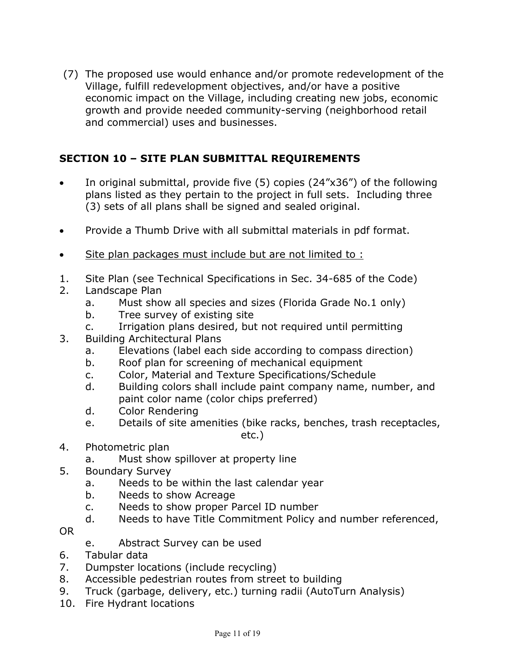(7) The proposed use would enhance and/or promote redevelopment of the Village, fulfill redevelopment objectives, and/or have a positive economic impact on the Village, including creating new jobs, economic growth and provide needed community-serving (neighborhood retail and commercial) uses and businesses.

# **SECTION 10 – SITE PLAN SUBMITTAL REQUIREMENTS**

- In original submittal, provide five (5) copies (24"x36") of the following plans listed as they pertain to the project in full sets. Including three (3) sets of all plans shall be signed and sealed original.
- Provide a Thumb Drive with all submittal materials in pdf format.
- Site plan packages must include but are not limited to :
- 1. Site Plan (see Technical Specifications in Sec. 34-685 of the Code)
- 2. Landscape Plan
	- a. Must show all species and sizes (Florida Grade No.1 only)
	- b. Tree survey of existing site
	- c. Irrigation plans desired, but not required until permitting
- 3. Building Architectural Plans
	- a. Elevations (label each side according to compass direction)
	- b. Roof plan for screening of mechanical equipment
	- c. Color, Material and Texture Specifications/Schedule
	- d. Building colors shall include paint company name, number, and paint color name (color chips preferred)
	- d. Color Rendering
	- e. Details of site amenities (bike racks, benches, trash receptacles,

etc.)

- 4. Photometric plan
	- a. Must show spillover at property line
- 5. Boundary Survey
	- a. Needs to be within the last calendar year
	- b. Needs to show Acreage
	- c. Needs to show proper Parcel ID number
	- d. Needs to have Title Commitment Policy and number referenced,
- OR
- e. Abstract Survey can be used
- 6. Tabular data
- 7. Dumpster locations (include recycling)
- 8. Accessible pedestrian routes from street to building
- 9. Truck (garbage, delivery, etc.) turning radii (AutoTurn Analysis)
- 10. Fire Hydrant locations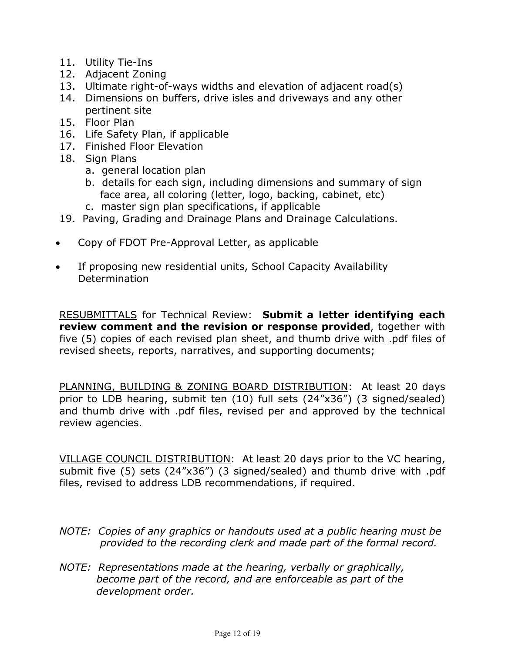- 11. Utility Tie-Ins
- 12. Adjacent Zoning
- 13. Ultimate right-of-ways widths and elevation of adjacent road(s)
- 14. Dimensions on buffers, drive isles and driveways and any other pertinent site
- 15. Floor Plan
- 16. Life Safety Plan, if applicable
- 17. Finished Floor Elevation
- 18. Sign Plans
	- a. general location plan
	- b. details for each sign, including dimensions and summary of sign face area, all coloring (letter, logo, backing, cabinet, etc)
	- c. master sign plan specifications, if applicable
- 19. Paving, Grading and Drainage Plans and Drainage Calculations.
- Copy of FDOT Pre-Approval Letter, as applicable
- If proposing new residential units, School Capacity Availability Determination

RESUBMITTALS for Technical Review: **Submit a letter identifying each review comment and the revision or response provided**, together with five (5) copies of each revised plan sheet, and thumb drive with .pdf files of revised sheets, reports, narratives, and supporting documents;

PLANNING, BUILDING & ZONING BOARD DISTRIBUTION: At least 20 days prior to LDB hearing, submit ten (10) full sets (24"x36") (3 signed/sealed) and thumb drive with .pdf files, revised per and approved by the technical review agencies.

VILLAGE COUNCIL DISTRIBUTION: At least 20 days prior to the VC hearing, submit five (5) sets (24"x36") (3 signed/sealed) and thumb drive with .pdf files, revised to address LDB recommendations, if required.

- *NOTE: Copies of any graphics or handouts used at a public hearing must be provided to the recording clerk and made part of the formal record.*
- *NOTE: Representations made at the hearing, verbally or graphically, become part of the record, and are enforceable as part of the development order.*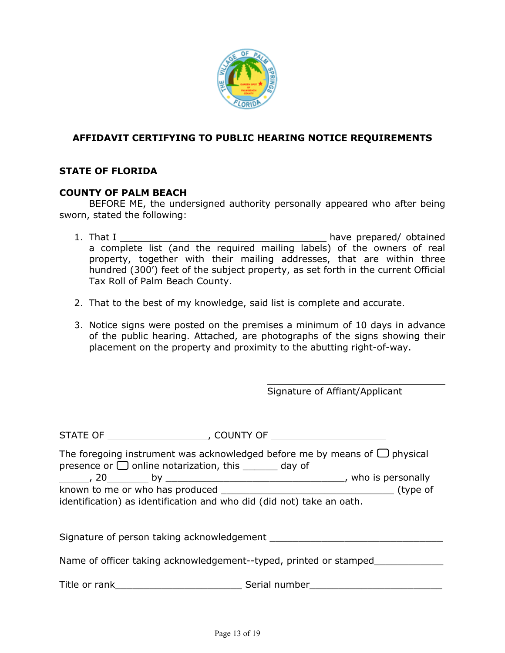

### **AFFIDAVIT CERTIFYING TO PUBLIC HEARING NOTICE REQUIREMENTS**

#### **STATE OF FLORIDA**

#### **COUNTY OF PALM BEACH**

BEFORE ME, the undersigned authority personally appeared who after being sworn, stated the following:

- 1. That I have prepared/ obtained a complete list (and the required mailing labels) of the owners of real property, together with their mailing addresses, that are within three hundred (300') feet of the subject property, as set forth in the current Official Tax Roll of Palm Beach County.
- 2. That to the best of my knowledge, said list is complete and accurate.
- 3. Notice signs were posted on the premises a minimum of 10 days in advance of the public hearing. Attached, are photographs of the signs showing their placement on the property and proximity to the abutting right-of-way.

Signature of Affiant/Applicant

| The foregoing instrument was acknowledged before me by means of $\Box$ physical<br>presence or $\Box$ online notarization, this ______ day of ________________________ |                                            |  |  |
|------------------------------------------------------------------------------------------------------------------------------------------------------------------------|--------------------------------------------|--|--|
|                                                                                                                                                                        |                                            |  |  |
|                                                                                                                                                                        |                                            |  |  |
| identification) as identification and who did (did not) take an oath.                                                                                                  |                                            |  |  |
|                                                                                                                                                                        | Signature of person taking acknowledgement |  |  |
|                                                                                                                                                                        |                                            |  |  |
| Name of officer taking acknowledgement--typed, printed or stamped_                                                                                                     |                                            |  |  |
|                                                                                                                                                                        | Serial number                              |  |  |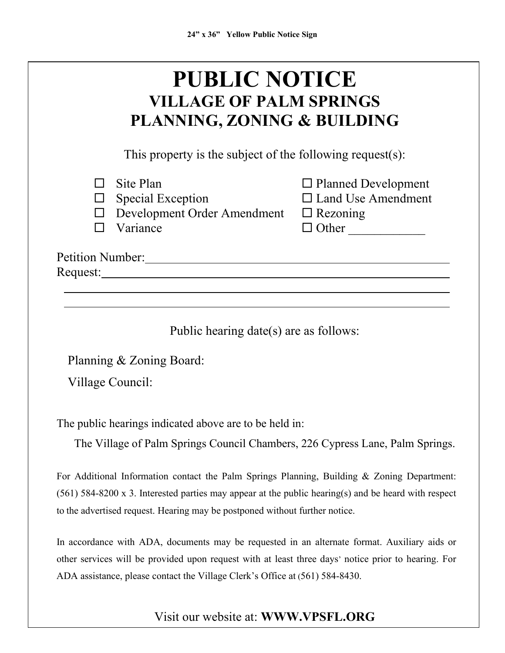| <b>PUBLIC NOTICE</b><br><b>VILLAGE OF PALM SPRINGS</b><br><b>PLANNING, ZONING &amp; BUILDING</b>                                                                                                                                                                                     |                                                                         |  |  |
|--------------------------------------------------------------------------------------------------------------------------------------------------------------------------------------------------------------------------------------------------------------------------------------|-------------------------------------------------------------------------|--|--|
| This property is the subject of the following request(s):                                                                                                                                                                                                                            |                                                                         |  |  |
| Site Plan<br><b>Special Exception</b><br>Development Order Amendment $\Box$ Rezoning<br>Variance                                                                                                                                                                                     | $\Box$ Planned Development<br>$\Box$ Land Use Amendment<br>$\Box$ Other |  |  |
| Petition Number: 1988                                                                                                                                                                                                                                                                |                                                                         |  |  |
| Public hearing date(s) are as follows:                                                                                                                                                                                                                                               |                                                                         |  |  |
| Planning & Zoning Board:                                                                                                                                                                                                                                                             |                                                                         |  |  |
| Village Council:                                                                                                                                                                                                                                                                     |                                                                         |  |  |
| The public hearings indicated above are to be held in:                                                                                                                                                                                                                               |                                                                         |  |  |
| The Village of Palm Springs Council Chambers, 226 Cypress Lane, Palm Springs.                                                                                                                                                                                                        |                                                                         |  |  |
| For Additional Information contact the Palm Springs Planning, Building & Zoning Department:<br>$(561)$ 584-8200 x 3. Interested parties may appear at the public hearing(s) and be heard with respect<br>to the advertised request. Hearing may be postponed without further notice. |                                                                         |  |  |
| In accordance with ADA, documents may be requested in an alternate format. Auxiliary aids or<br>other services will be provided upon request with at least three days' notice prior to hearing. For<br>ADA assistance, please contact the Village Clerk's Office at (561) 584-8430.  |                                                                         |  |  |

# Visit our website at: **WWW.VPSFL.ORG**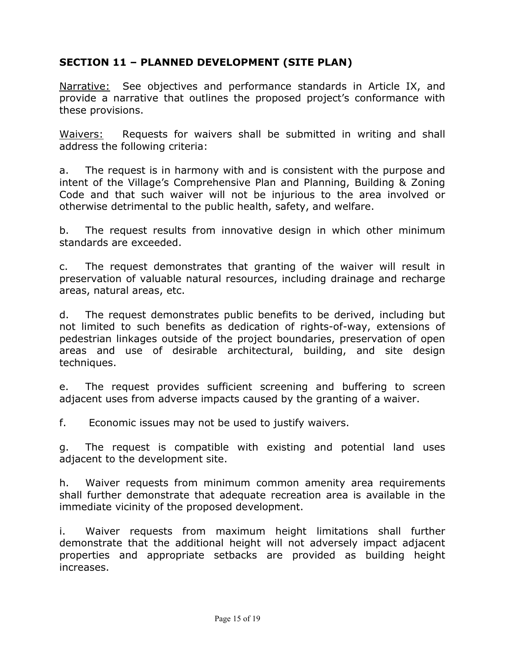# **SECTION 11 – PLANNED DEVELOPMENT (SITE PLAN)**

Narrative: See objectives and performance standards in Article IX, and provide a narrative that outlines the proposed project's conformance with these provisions.

Waivers: Requests for waivers shall be submitted in writing and shall address the following criteria:

a. The request is in harmony with and is consistent with the purpose and intent of the Village's Comprehensive Plan and Planning, Building & Zoning Code and that such waiver will not be injurious to the area involved or otherwise detrimental to the public health, safety, and welfare.

b. The request results from innovative design in which other minimum standards are exceeded.

c. The request demonstrates that granting of the waiver will result in preservation of valuable natural resources, including drainage and recharge areas, natural areas, etc.

d. The request demonstrates public benefits to be derived, including but not limited to such benefits as dedication of rights-of-way, extensions of pedestrian linkages outside of the project boundaries, preservation of open areas and use of desirable architectural, building, and site design techniques.

e. The request provides sufficient screening and buffering to screen adjacent uses from adverse impacts caused by the granting of a waiver.

f. Economic issues may not be used to justify waivers.

g. The request is compatible with existing and potential land uses adjacent to the development site.

h. Waiver requests from minimum common amenity area requirements shall further demonstrate that adequate recreation area is available in the immediate vicinity of the proposed development.

i. Waiver requests from maximum height limitations shall further demonstrate that the additional height will not adversely impact adjacent properties and appropriate setbacks are provided as building height increases.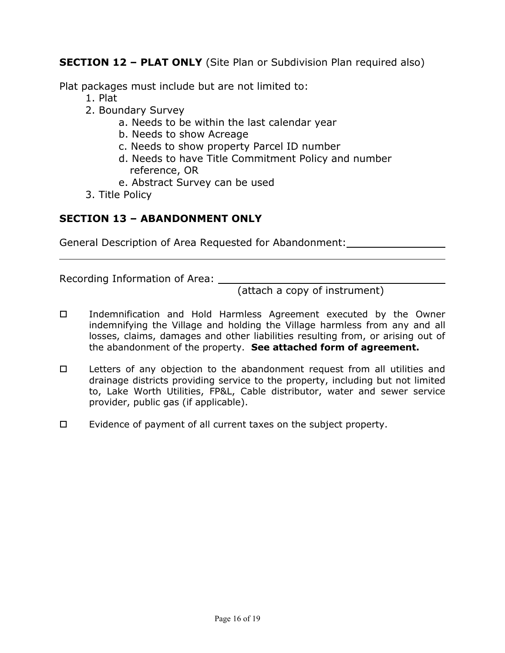**SECTION 12 – PLAT ONLY** (Site Plan or Subdivision Plan required also)

Plat packages must include but are not limited to:

- 1. Plat
- 2. Boundary Survey
	- a. Needs to be within the last calendar year
	- b. Needs to show Acreage
	- c. Needs to show property Parcel ID number
	- d. Needs to have Title Commitment Policy and number reference, OR
	- e. Abstract Survey can be used
- 3. Title Policy

# **SECTION 13 – ABANDONMENT ONLY**

General Description of Area Requested for Abandonment:

Recording Information of Area: \_\_\_\_\_

(attach a copy of instrument)

- Indemnification and Hold Harmless Agreement executed by the Owner indemnifying the Village and holding the Village harmless from any and all losses, claims, damages and other liabilities resulting from, or arising out of the abandonment of the property. **See attached form of agreement.**
- $\Box$  Letters of any objection to the abandonment request from all utilities and drainage districts providing service to the property, including but not limited to, Lake Worth Utilities, FP&L, Cable distributor, water and sewer service provider, public gas (if applicable).
- $\Box$  Evidence of payment of all current taxes on the subject property.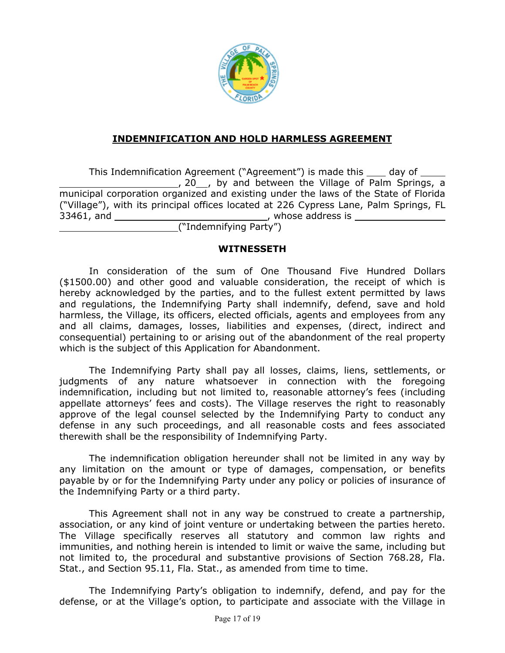

### **INDEMNIFICATION AND HOLD HARMLESS AGREEMENT**

This Indemnification Agreement ("Agreement") is made this \_\_\_\_ day of \_\_\_ \_, 20\_\_, by and between the Village of Palm Springs, a municipal corporation organized and existing under the laws of the State of Florida ("Village"), with its principal offices located at 226 Cypress Lane, Palm Springs, FL 33461, and , whose address is

("Indemnifying Party")

#### **WITNESSETH**

In consideration of the sum of One Thousand Five Hundred Dollars (\$1500.00) and other good and valuable consideration, the receipt of which is hereby acknowledged by the parties, and to the fullest extent permitted by laws and regulations, the Indemnifying Party shall indemnify, defend, save and hold harmless, the Village, its officers, elected officials, agents and employees from any and all claims, damages, losses, liabilities and expenses, (direct, indirect and consequential) pertaining to or arising out of the abandonment of the real property which is the subject of this Application for Abandonment.

The Indemnifying Party shall pay all losses, claims, liens, settlements, or judgments of any nature whatsoever in connection with the foregoing indemnification, including but not limited to, reasonable attorney's fees (including appellate attorneys' fees and costs). The Village reserves the right to reasonably approve of the legal counsel selected by the Indemnifying Party to conduct any defense in any such proceedings, and all reasonable costs and fees associated therewith shall be the responsibility of Indemnifying Party.

The indemnification obligation hereunder shall not be limited in any way by any limitation on the amount or type of damages, compensation, or benefits payable by or for the Indemnifying Party under any policy or policies of insurance of the Indemnifying Party or a third party.

This Agreement shall not in any way be construed to create a partnership, association, or any kind of joint venture or undertaking between the parties hereto. The Village specifically reserves all statutory and common law rights and immunities, and nothing herein is intended to limit or waive the same, including but not limited to, the procedural and substantive provisions of Section 768.28, Fla. Stat., and Section 95.11, Fla. Stat., as amended from time to time.

The Indemnifying Party's obligation to indemnify, defend, and pay for the defense, or at the Village's option, to participate and associate with the Village in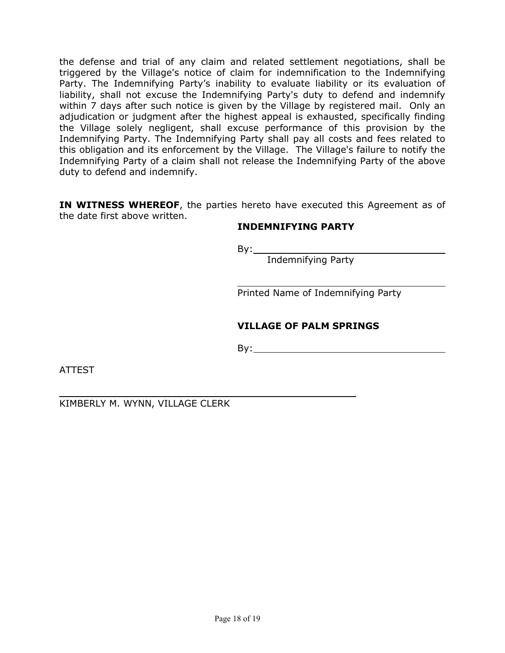the defense and trial of any claim and related settlement negotiations, shall be triggered by the Village's notice of claim for indemnification to the Indemnifying Party. The Indemnifying Party's inability to evaluate liability or its evaluation of liability, shall not excuse the Indemnifying Party's duty to defend and indemnify within 7 days after such notice is given by the Village by registered mail. Only an adjudication or judgment after the highest appeal is exhausted, specifically finding the Village solely negligent, shall excuse performance of this provision by the Indemnifying Party. The Indemnifying Party shall pay all costs and fees related to this obligation and its enforcement by the Village. The Village's failure to notify the Indemnifying Party of a claim shall not release the Indemnifying Party of the above duty to defend and indemnify.

**IN WITNESS WHEREOF**, the parties hereto have executed this Agreement as of the date first above written.

#### **INDEMNIFYING PARTY**

 $By:$ 

Indemnifying Party

Printed Name of Indemnifying Party

#### **VILLAGE OF PALM SPRINGS**

By:

ATTEST

KIMBERLY M. WYNN, VILLAGE CLERK